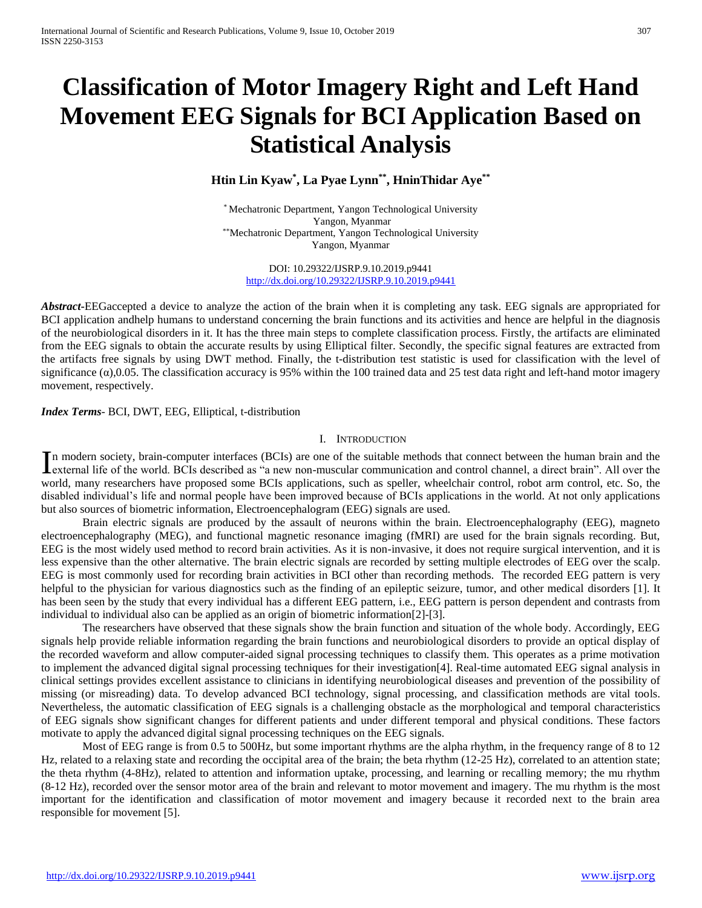# **Classification of Motor Imagery Right and Left Hand Movement EEG Signals for BCI Application Based on Statistical Analysis**

# **Htin Lin Kyaw\* , La Pyae Lynn\*\* , HninThidar Aye\*\***

\* Mechatronic Department, Yangon Technological University Yangon, Myanmar \*\*Mechatronic Department, Yangon Technological University Yangon, Myanmar

DOI: 10.29322/IJSRP.9.10.2019.p9441 <http://dx.doi.org/10.29322/IJSRP.9.10.2019.p9441>

*Abstract***-**EEGaccepted a device to analyze the action of the brain when it is completing any task. EEG signals are appropriated for BCI application andhelp humans to understand concerning the brain functions and its activities and hence are helpful in the diagnosis of the neurobiological disorders in it. It has the three main steps to complete classification process. Firstly, the artifacts are eliminated from the EEG signals to obtain the accurate results by using Elliptical filter. Secondly, the specific signal features are extracted from the artifacts free signals by using DWT method. Finally, the t-distribution test statistic is used for classification with the level of significance  $(\alpha)$ ,0.05. The classification accuracy is 95% within the 100 trained data and 25 test data right and left-hand motor imagery movement, respectively.

*Index Terms*- BCI, DWT, EEG, Elliptical, t-distribution

#### I. INTRODUCTION

n modern society, brain-computer interfaces (BCIs) are one of the suitable methods that connect between the human brain and the In modern society, brain-computer interfaces (BCIs) are one of the suitable methods that connect between the human brain and the external life of the world. BCIs described as "a new non-muscular communication and control c world, many researchers have proposed some BCIs applications, such as speller, wheelchair control, robot arm control, etc. So, the disabled individual's life and normal people have been improved because of BCIs applications in the world. At not only applications but also sources of biometric information, Electroencephalogram (EEG) signals are used.

Brain electric signals are produced by the assault of neurons within the brain. Electroencephalography (EEG), magneto electroencephalography (MEG), and functional magnetic resonance imaging (fMRI) are used for the brain signals recording. But, EEG is the most widely used method to record brain activities. As it is non-invasive, it does not require surgical intervention, and it is less expensive than the other alternative. The brain electric signals are recorded by setting multiple electrodes of EEG over the scalp. EEG is most commonly used for recording brain activities in BCI other than recording methods. The recorded EEG pattern is very helpful to the physician for various diagnostics such as the finding of an epileptic seizure, tumor, and other medical disorders [1]. It has been seen by the study that every individual has a different EEG pattern, i.e., EEG pattern is person dependent and contrasts from individual to individual also can be applied as an origin of biometric information[2]-[3].

The researchers have observed that these signals show the brain function and situation of the whole body. Accordingly, EEG signals help provide reliable information regarding the brain functions and neurobiological disorders to provide an optical display of the recorded waveform and allow computer-aided signal processing techniques to classify them. This operates as a prime motivation to implement the advanced digital signal processing techniques for their investigation[4]. Real-time automated EEG signal analysis in clinical settings provides excellent assistance to clinicians in identifying neurobiological diseases and prevention of the possibility of missing (or misreading) data. To develop advanced BCI technology, signal processing, and classification methods are vital tools. Nevertheless, the automatic classification of EEG signals is a challenging obstacle as the morphological and temporal characteristics of EEG signals show significant changes for different patients and under different temporal and physical conditions. These factors motivate to apply the advanced digital signal processing techniques on the EEG signals.

Most of EEG range is from 0.5 to 500Hz, but some important rhythms are the alpha rhythm, in the frequency range of 8 to 12 Hz, related to a relaxing state and recording the occipital area of the brain; the beta rhythm (12-25 Hz), correlated to an attention state; the theta rhythm (4-8Hz), related to attention and information uptake, processing, and learning or recalling memory; the mu rhythm (8-12 Hz), recorded over the sensor motor area of the brain and relevant to motor movement and imagery. The mu rhythm is the most important for the identification and classification of motor movement and imagery because it recorded next to the brain area responsible for movement [5].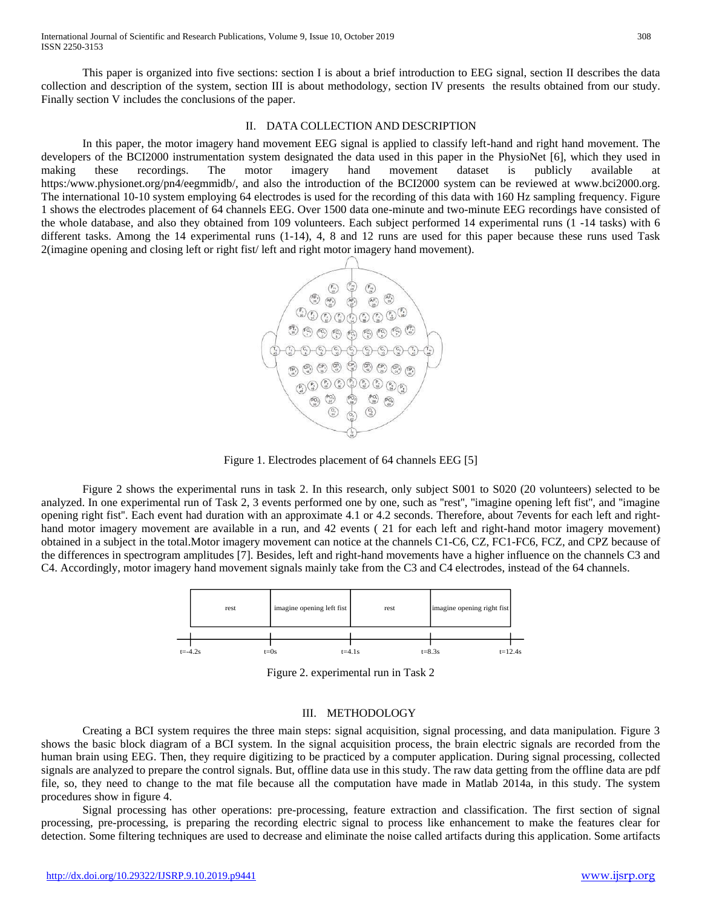This paper is organized into five sections: section I is about a brief introduction to EEG signal, section II describes the data collection and description of the system, section III is about methodology, section IV presents the results obtained from our study. Finally section V includes the conclusions of the paper.

## II. DATA COLLECTION AND DESCRIPTION

In this paper, the motor imagery hand movement EEG signal is applied to classify left-hand and right hand movement. The developers of the BCI2000 instrumentation system designated the data used in this paper in the PhysioNet [6], which they used in making these recordings. The motor imagery hand movement dataset is publicly available at https:/www.physionet.org/pn4/eegmmidb/, and also the introduction of the BCI2000 system can be reviewed at www.bci2000.org. The international 10-10 system employing 64 electrodes is used for the recording of this data with 160 Hz sampling frequency. Figure 1 shows the electrodes placement of 64 channels EEG. Over 1500 data one-minute and two-minute EEG recordings have consisted of the whole database, and also they obtained from 109 volunteers. Each subject performed 14 experimental runs (1 -14 tasks) with 6 different tasks. Among the 14 experimental runs (1-14), 4, 8 and 12 runs are used for this paper because these runs used Task 2(imagine opening and closing left or right fist/ left and right motor imagery hand movement).



Figure 1. Electrodes placement of 64 channels EEG [5]

Figure 2 shows the experimental runs in task 2. In this research, only subject S001 to S020 (20 volunteers) selected to be analyzed. In one experimental run of Task 2, 3 events performed one by one, such as ''rest'', ''imagine opening left fist'', and ''imagine opening right fist''. Each event had duration with an approximate 4.1 or 4.2 seconds. Therefore, about 7events for each left and righthand motor imagery movement are available in a run, and 42 events (21 for each left and right-hand motor imagery movement) obtained in a subject in the total.Motor imagery movement can notice at the channels C1-C6, CZ, FC1-FC6, FCZ, and CPZ because of the differences in spectrogram amplitudes [7]. Besides, left and right-hand movements have a higher influence on the channels C3 and C4. Accordingly, motor imagery hand movement signals mainly take from the C3 and C4 electrodes, instead of the 64 channels.



Figure 2. experimental run in Task 2

#### III. METHODOLOGY

Creating a BCI system requires the three main steps: signal acquisition, signal processing, and data manipulation. Figure 3 shows the basic block diagram of a BCI system. In the signal acquisition process, the brain electric signals are recorded from the human brain using EEG. Then, they require digitizing to be practiced by a computer application. During signal processing, collected signals are analyzed to prepare the control signals. But, offline data use in this study. The raw data getting from the offline data are pdf file, so, they need to change to the mat file because all the computation have made in Matlab 2014a, in this study. The system procedures show in figure 4.

Signal processing has other operations: pre-processing, feature extraction and classification. The first section of signal processing, pre-processing, is preparing the recording electric signal to process like enhancement to make the features clear for detection. Some filtering techniques are used to decrease and eliminate the noise called artifacts during this application. Some artifacts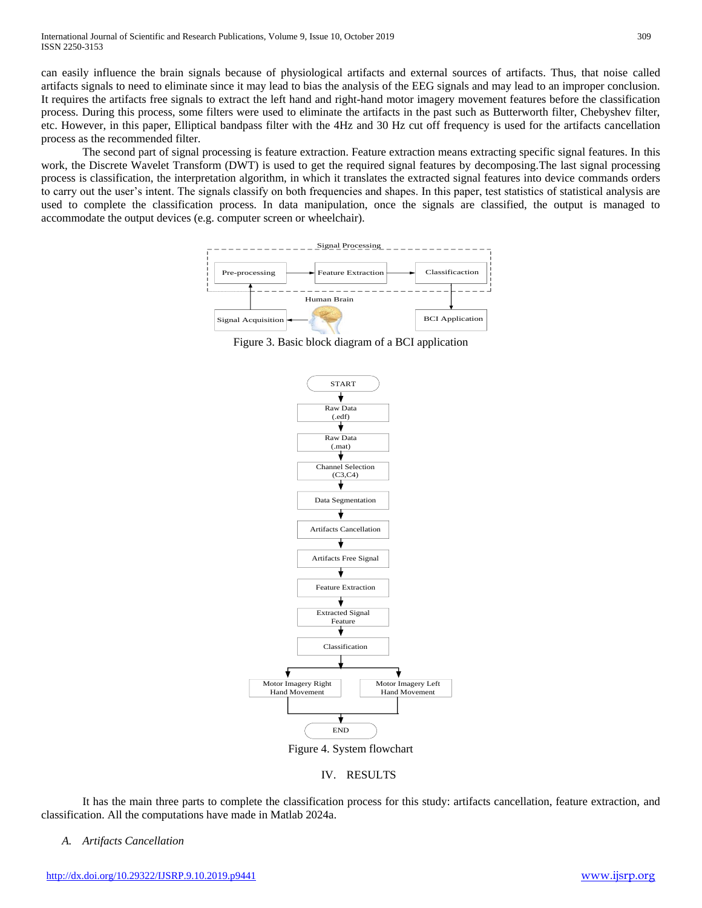can easily influence the brain signals because of physiological artifacts and external sources of artifacts. Thus, that noise called artifacts signals to need to eliminate since it may lead to bias the analysis of the EEG signals and may lead to an improper conclusion. It requires the artifacts free signals to extract the left hand and right-hand motor imagery movement features before the classification process. During this process, some filters were used to eliminate the artifacts in the past such as Butterworth filter, Chebyshev filter, etc. However, in this paper, Elliptical bandpass filter with the 4Hz and 30 Hz cut off frequency is used for the artifacts cancellation process as the recommended filter.

The second part of signal processing is feature extraction. Feature extraction means extracting specific signal features. In this work, the Discrete Wavelet Transform (DWT) is used to get the required signal features by decomposing.The last signal processing process is classification, the interpretation algorithm, in which it translates the extracted signal features into device commands orders to carry out the user's intent. The signals classify on both frequencies and shapes. In this paper, test statistics of statistical analysis are used to complete the classification process. In data manipulation, once the signals are classified, the output is managed to accommodate the output devices (e.g. computer screen or wheelchair).



Figure 3. Basic block diagram of a BCI application



## IV. RESULTS

It has the main three parts to complete the classification process for this study: artifacts cancellation, feature extraction, and classification. All the computations have made in Matlab 2024a.

### *A. Artifacts Cancellation*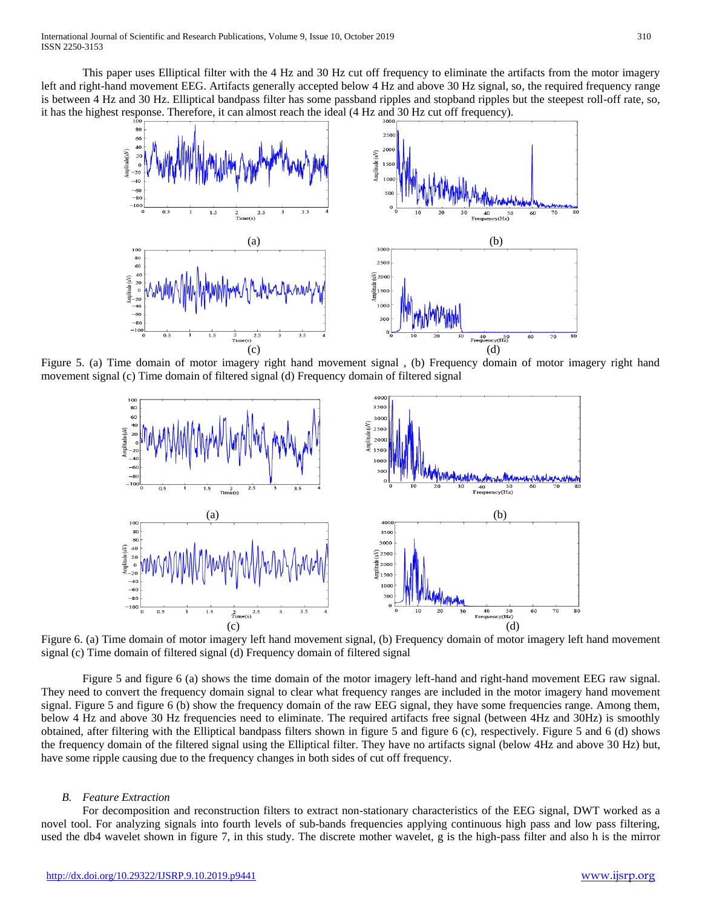This paper uses Elliptical filter with the 4 Hz and 30 Hz cut off frequency to eliminate the artifacts from the motor imagery left and right-hand movement EEG. Artifacts generally accepted below 4 Hz and above 30 Hz signal, so, the required frequency range is between 4 Hz and 30 Hz. Elliptical bandpass filter has some passband ripples and stopband ripples but the steepest roll-off rate, so, it has the highest response. Therefore, it can almost reach the ideal (4 Hz and 30 Hz cut off frequency).



Figure 5. (a) Time domain of motor imagery right hand movement signal , (b) Frequency domain of motor imagery right hand movement signal (c) Time domain of filtered signal (d) Frequency domain of filtered signal



Figure 6. (a) Time domain of motor imagery left hand movement signal, (b) Frequency domain of motor imagery left hand movement signal (c) Time domain of filtered signal (d) Frequency domain of filtered signal

Figure 5 and figure 6 (a) shows the time domain of the motor imagery left-hand and right-hand movement EEG raw signal. They need to convert the frequency domain signal to clear what frequency ranges are included in the motor imagery hand movement signal. Figure 5 and figure 6 (b) show the frequency domain of the raw EEG signal, they have some frequencies range. Among them, below 4 Hz and above 30 Hz frequencies need to eliminate. The required artifacts free signal (between 4Hz and 30Hz) is smoothly obtained, after filtering with the Elliptical bandpass filters shown in figure 5 and figure 6 (c), respectively. Figure 5 and 6 (d) shows the frequency domain of the filtered signal using the Elliptical filter. They have no artifacts signal (below 4Hz and above 30 Hz) but, have some ripple causing due to the frequency changes in both sides of cut off frequency.

### *B. Feature Extraction*

For decomposition and reconstruction filters to extract non-stationary characteristics of the EEG signal, DWT worked as a novel tool. For analyzing signals into fourth levels of sub-bands frequencies applying continuous high pass and low pass filtering, used the db4 wavelet shown in figure 7, in this study. The discrete mother wavelet, g is the high-pass filter and also h is the mirror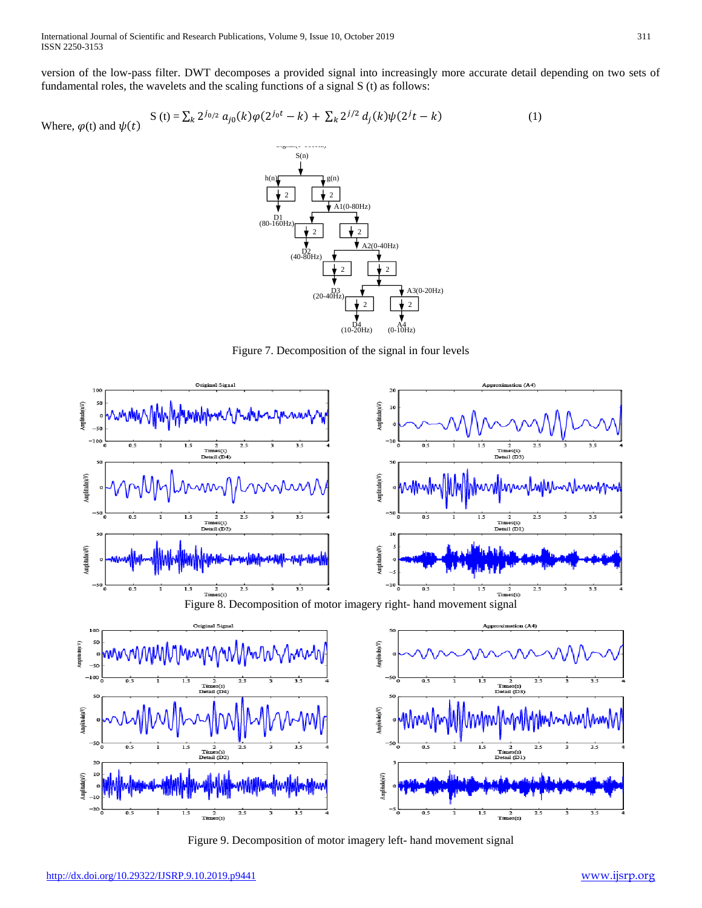version of the low-pass filter. DWT decomposes a provided signal into increasingly more accurate detail depending on two sets of fundamental roles, the wavelets and the scaling functions of a signal S (t) as follows:

Where, 
$$
\varphi(t)
$$
 and  $\psi(t)$ .  
 
$$
S(t) = \sum_{k} 2^{j_{0/2}} a_{j0}(k) \varphi(2^{j_{0}t} - k) + \sum_{k} 2^{j/2} d_{j}(k) \psi(2^{j}t - k)
$$
 (1)



Figure 7. Decomposition of the signal in four levels



Figure 9. Decomposition of motor imagery left- hand movement signal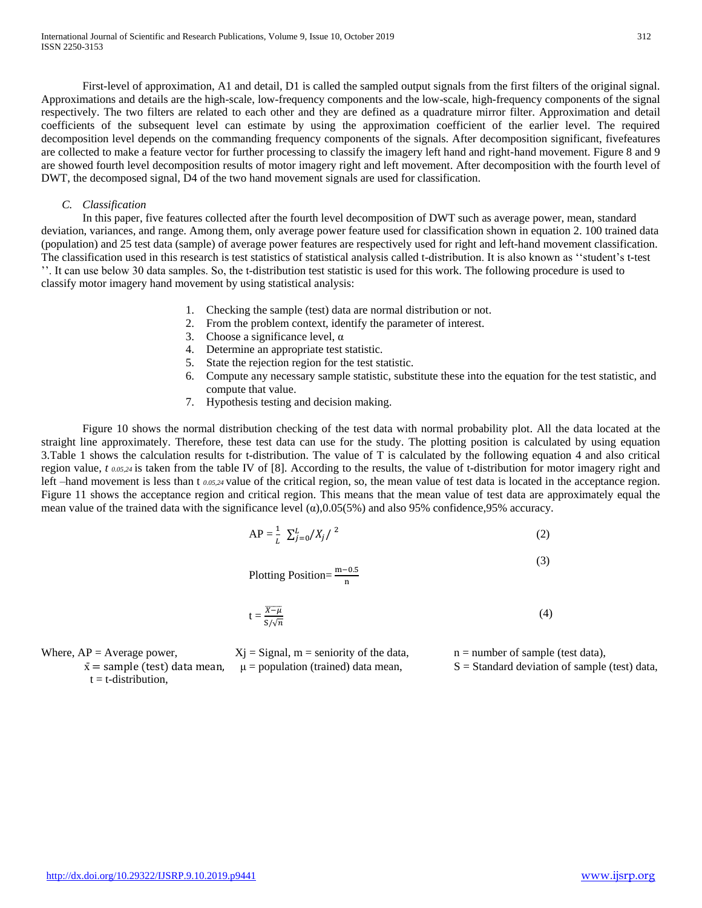First-level of approximation, A1 and detail, D1 is called the sampled output signals from the first filters of the original signal. Approximations and details are the high-scale, low-frequency components and the low-scale, high-frequency components of the signal respectively. The two filters are related to each other and they are defined as a quadrature mirror filter. Approximation and detail coefficients of the subsequent level can estimate by using the approximation coefficient of the earlier level. The required decomposition level depends on the commanding frequency components of the signals. After decomposition significant, fivefeatures are collected to make a feature vector for further processing to classify the imagery left hand and right-hand movement. Figure 8 and 9 are showed fourth level decomposition results of motor imagery right and left movement. After decomposition with the fourth level of DWT, the decomposed signal, D4 of the two hand movement signals are used for classification.

## *C. Classification*

In this paper, five features collected after the fourth level decomposition of DWT such as average power, mean, standard deviation, variances, and range. Among them, only average power feature used for classification shown in equation 2. 100 trained data (population) and 25 test data (sample) of average power features are respectively used for right and left-hand movement classification. The classification used in this research is test statistics of statistical analysis called t-distribution. It is also known as ''student's t-test ''. It can use below 30 data samples. So, the t-distribution test statistic is used for this work. The following procedure is used to classify motor imagery hand movement by using statistical analysis:

- 1. Checking the sample (test) data are normal distribution or not.
- 2. From the problem context, identify the parameter of interest.
- 3. Choose a significance level,  $\alpha$
- 4. Determine an appropriate test statistic.
- 5. State the rejection region for the test statistic.
- 6. Compute any necessary sample statistic, substitute these into the equation for the test statistic, and compute that value.
- 7. Hypothesis testing and decision making.

Figure 10 shows the normal distribution checking of the test data with normal probability plot. All the data located at the straight line approximately. Therefore, these test data can use for the study. The plotting position is calculated by using equation 3.Table 1 shows the calculation results for t-distribution. The value of T is calculated by the following equation 4 and also critical region value, *t 0.05,24* is taken from the table IV of [8]. According to the results, the value of t-distribution for motor imagery right and left –hand movement is less than t *0.05,24* value of the critical region, so, the mean value of test data is located in the acceptance region. Figure 11 shows the acceptance region and critical region. This means that the mean value of test data are approximately equal the mean value of the trained data with the significance level  $(\alpha)$ ,0.05(5%) and also 95% confidence,95% accuracy.

$$
AP = \frac{1}{L} \sum_{j=0}^{L} /X_j / \binom{2}{j}
$$
 (2)

Plotting Position= $\frac{m-0.5}{n}$ 

$$
t = \frac{\overline{x - \mu}}{S/\sqrt{n}}\tag{4}
$$

(3)

 $\bar{x}$  = sample (test) data mean,  $\mu$  = population (trained) data mean,  $S$  = Standard deviation of sample (test) data,

 $t = t$ -distribution,

Where,  $AP = Average power$ ,  $Xj = Signal$ ,  $m = seniority$  of the data,  $n = number$  of sample (test data),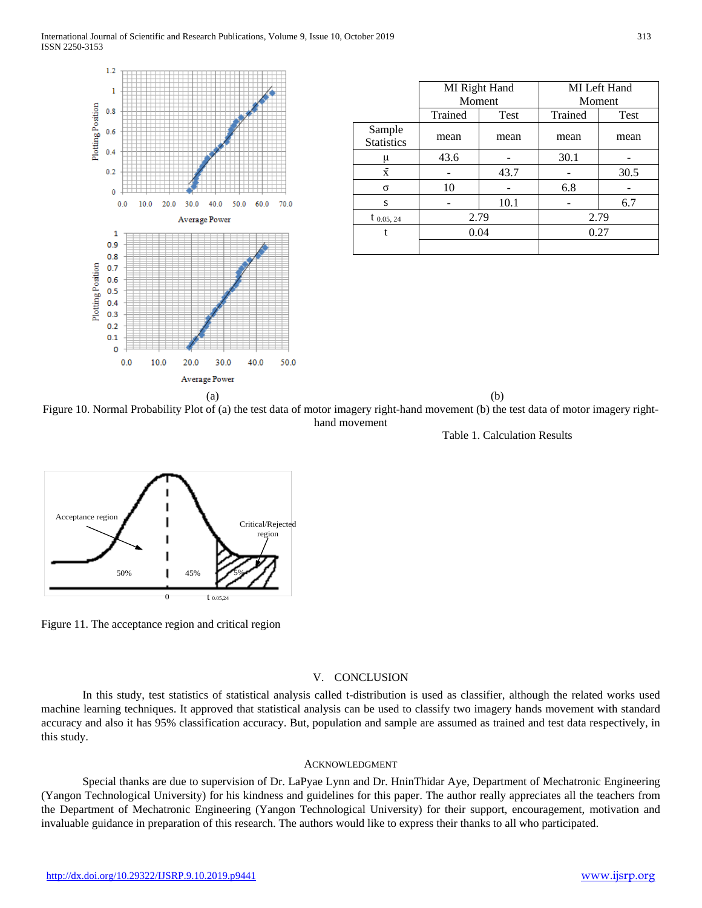

|                             | MI Right Hand<br>Moment |      | MI Left Hand<br>Moment |      |
|-----------------------------|-------------------------|------|------------------------|------|
|                             | Trained                 | Test | Trained                | Test |
| Sample<br><b>Statistics</b> | mean                    | mean | mean                   | mean |
| μ                           | 43.6                    |      | 30.1                   |      |
| $\bar{x}$                   |                         | 43.7 |                        | 30.5 |
| σ                           | 10                      |      | 6.8                    |      |
| S                           |                         | 10.1 |                        | 6.7  |
| $t_{0.05, 24}$              | 2.79                    |      | 2.79                   |      |
| t                           | 0.04                    |      | 0.27                   |      |
|                             |                         |      |                        |      |

Figure 10. Normal Probability Plot of (a) the test data of motor imagery right-hand movement (b) the test data of motor imagery righthand movement

Table 1. Calculation Results



Figure 11. The acceptance region and critical region

## V. CONCLUSION

In this study, test statistics of statistical analysis called t-distribution is used as classifier, although the related works used machine learning techniques. It approved that statistical analysis can be used to classify two imagery hands movement with standard accuracy and also it has 95% classification accuracy. But, population and sample are assumed as trained and test data respectively, in this study.

## ACKNOWLEDGMENT

Special thanks are due to supervision of Dr. LaPyae Lynn and Dr. HninThidar Aye, Department of Mechatronic Engineering (Yangon Technological University) for his kindness and guidelines for this paper. The author really appreciates all the teachers from the Department of Mechatronic Engineering (Yangon Technological University) for their support, encouragement, motivation and invaluable guidance in preparation of this research. The authors would like to express their thanks to all who participated.